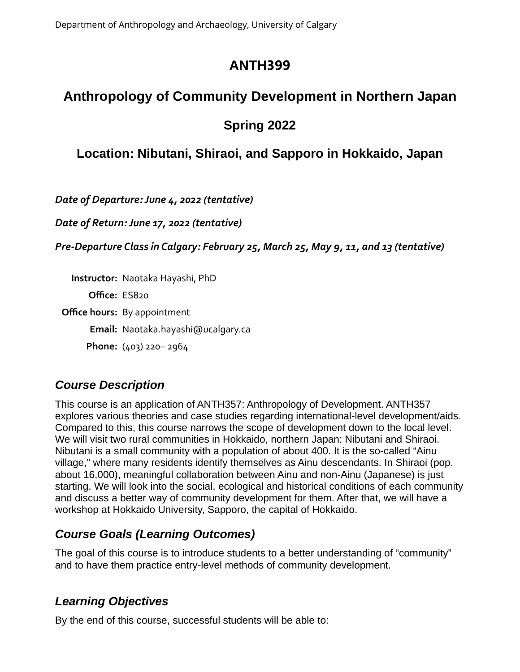Department of Anthropology and Archaeology, University of Calgary

# **ANTH399**

# **Anthropology of Community Development in Northern Japan**

# **Spring 2022**

# **Location: Nibutani, Shiraoi, and Sapporo in Hokkaido, Japan**

*Date of Departure: June 4, 2022 (tentative)*

*Date of Return: June 17, 2022 (tentative)*

*Pre-Departure Class in Calgary: February 25, March 25, May 9, 11, and 13 (tentative)*

**Instructor:** Naotaka Hayashi, PhD

**Office:** ES820

**Office hours:** By appointment

**Email:** Naotaka.hayashi@ucalgary.ca

**Phone:** (403) 220– 2964

## *Course Description*

This course is an application of ANTH357: Anthropology of Development. ANTH357 explores various theories and case studies regarding international-level development/aids. Compared to this, this course narrows the scope of development down to the local level. We will visit two rural communities in Hokkaido, northern Japan: Nibutani and Shiraoi. Nibutani is a small community with a population of about 400. It is the so-called "Ainu village," where many residents identify themselves as Ainu descendants. In Shiraoi (pop. about 16,000), meaningful collaboration between Ainu and non-Ainu (Japanese) is just starting. We will look into the social, ecological and historical conditions of each community and discuss a better way of community development for them. After that, we will have a workshop at Hokkaido University, Sapporo, the capital of Hokkaido.

## *Course Goals (Learning Outcomes)*

The goal of this course is to introduce students to a better understanding of "community" and to have them practice entry-level methods of community development.

## *Learning Objectives*

By the end of this course, successful students will be able to: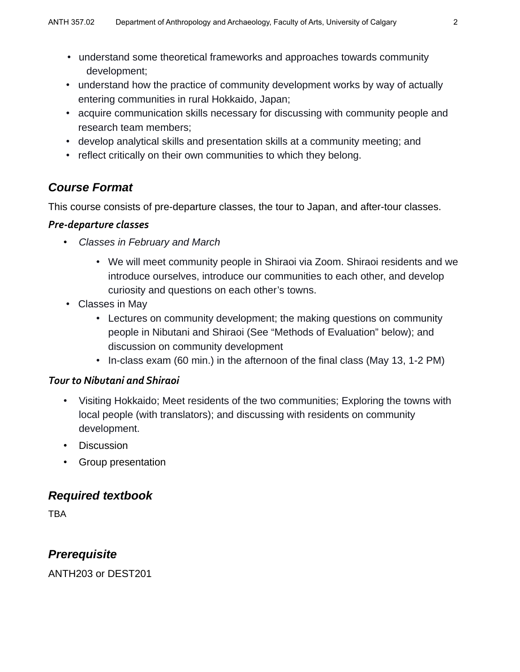- understand some theoretical frameworks and approaches towards community development;
- understand how the practice of community development works by way of actually entering communities in rural Hokkaido, Japan;
- acquire communication skills necessary for discussing with community people and research team members;
- develop analytical skills and presentation skills at a community meeting; and
- reflect critically on their own communities to which they belong.

## *Course Format*

This course consists of pre-departure classes, the tour to Japan, and after-tour classes.

### *Pre-departure classes*

- *Classes in February and March*
	- We will meet community people in Shiraoi via Zoom. Shiraoi residents and we introduce ourselves, introduce our communities to each other, and develop curiosity and questions on each other's towns.
- Classes in May
	- Lectures on community development; the making questions on community people in Nibutani and Shiraoi (See "Methods of Evaluation" below); and discussion on community development
	- In-class exam (60 min.) in the afternoon of the final class (May 13, 1-2 PM)

### *Tour to Nibutani and Shiraoi*

- Visiting Hokkaido; Meet residents of the two communities; Exploring the towns with local people (with translators); and discussing with residents on community development.
- Discussion
- Group presentation

### *Required textbook*

**TBA** 

## *Prerequisite*

ANTH203 or DEST201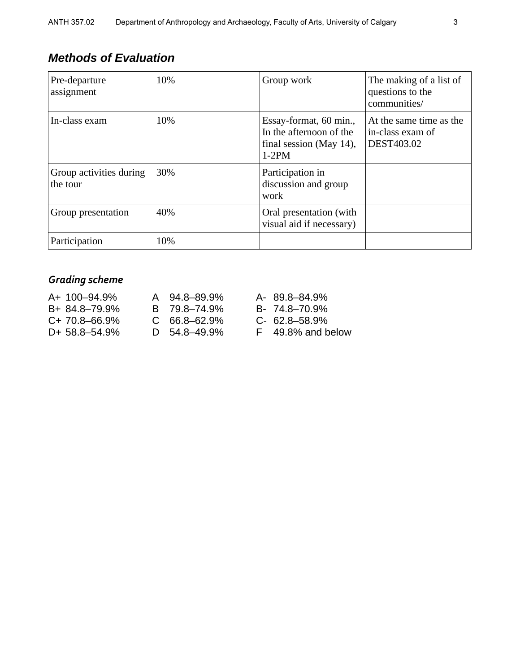## *Methods of Evaluation*

| Pre-departure<br>assignment         | 10% | Group work                                                                              | The making of a list of<br>questions to the<br>communities/ |
|-------------------------------------|-----|-----------------------------------------------------------------------------------------|-------------------------------------------------------------|
| In-class exam                       | 10% | Essay-format, 60 min.,<br>In the afternoon of the<br>final session (May 14),<br>$1-2PM$ | At the same time as the<br>in-class exam of<br>DEST403.02   |
| Group activities during<br>the tour | 30% | Participation in<br>discussion and group<br>work                                        |                                                             |
| Group presentation                  | 40% | Oral presentation (with<br>visual aid if necessary)                                     |                                                             |
| Participation                       | 10% |                                                                                         |                                                             |

## *Grading scheme*

| A+ 100-94.9%      | A 94.8-89.9%   | A- 89.8-84.9%       |
|-------------------|----------------|---------------------|
| B+ 84.8-79.9%     | B 79.8-74.9%   | B- 74.8-70.9%       |
| $C+70.8-66.9\%$   | $C$ 66.8-62.9% | $C-62.8-58.9%$      |
| $D+ 58.8 - 54.9%$ | $D$ 54.8–49.9% | $F$ 49.8% and below |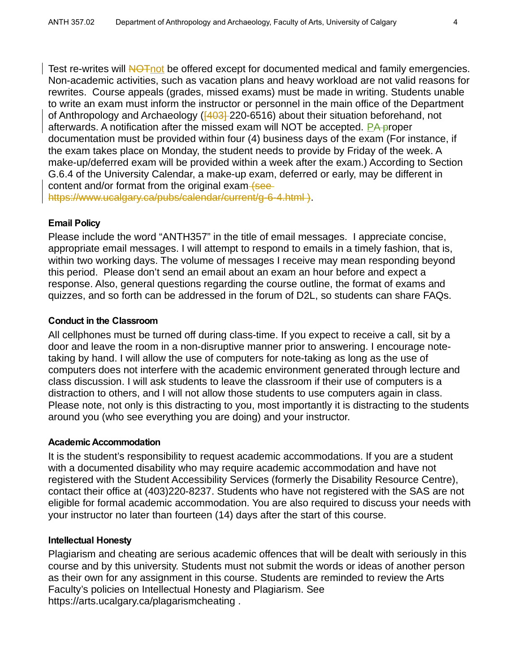Test re-writes will NOT not be offered except for documented medical and family emergencies. Non-academic activities, such as vacation plans and heavy workload are not valid reasons for rewrites. Course appeals (grades, missed exams) must be made in writing. Students unable to write an exam must inform the instructor or personnel in the main office of the Department of Anthropology and Archaeology ( $\overline{[403]}$  220-6516) about their situation beforehand, not afterwards. A notification after the missed exam will NOT be accepted. PA proper documentation must be provided within four (4) business days of the exam (For instance, if the exam takes place on Monday, the student needs to provide by Friday of the week. A make-up/deferred exam will be provided within a week after the exam.) According to Section G.6.4 of the University Calendar, a make-up exam, deferred or early, may be different in content and/or format from the original exam (see https://www.ucalgary.ca/pubs/calendar/current/g-6-4.html ).

### **Email Policy**

Please include the word "ANTH357" in the title of email messages. I appreciate concise, appropriate email messages. I will attempt to respond to emails in a timely fashion, that is, within two working days. The volume of messages I receive may mean responding beyond this period. Please don't send an email about an exam an hour before and expect a response. Also, general questions regarding the course outline, the format of exams and quizzes, and so forth can be addressed in the forum of D2L, so students can share FAQs.

#### **Conduct in the Classroom**

All cellphones must be turned off during class-time. If you expect to receive a call, sit by a door and leave the room in a non-disruptive manner prior to answering. I encourage notetaking by hand. I will allow the use of computers for note-taking as long as the use of computers does not interfere with the academic environment generated through lecture and class discussion. I will ask students to leave the classroom if their use of computers is a distraction to others, and I will not allow those students to use computers again in class. Please note, not only is this distracting to you, most importantly it is distracting to the students around you (who see everything you are doing) and your instructor.

#### **Academic Accommodation**

It is the student's responsibility to request academic accommodations. If you are a student with a documented disability who may require academic accommodation and have not registered with the Student Accessibility Services (formerly the Disability Resource Centre), contact their office at (403)220-8237. Students who have not registered with the SAS are not eligible for formal academic accommodation. You are also required to discuss your needs with your instructor no later than fourteen (14) days after the start of this course.

#### **Intellectual Honesty**

Plagiarism and cheating are serious academic offences that will be dealt with seriously in this course and by this university. Students must not submit the words or ideas of another person as their own for any assignment in this course. Students are reminded to review the Arts Faculty's policies on Intellectual Honesty and Plagiarism. See https://arts.ucalgary.ca/plagarismcheating .